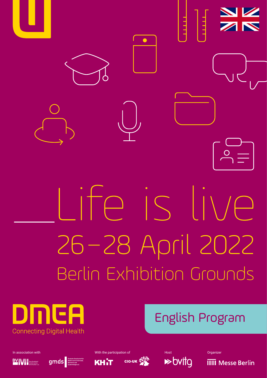

Berlin Exhibition Grounds



# English Program









In association with Night Communication of Night Americipation of Night Americipation of Host Organizer

**IIII** Messe Berlin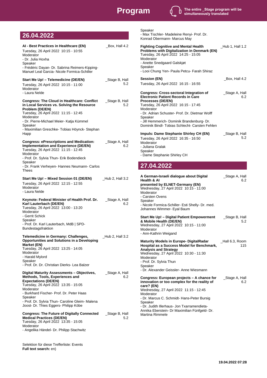

## **26.04.2022**

| AI - Best Practices in Healthcare (EN)<br>Tuesday, 26 April 2022 10:15 - 10:55<br>Moderator<br>- Dr. Julia Hoxha<br>Speaker                                                                                                                                                                                          | _Box, Hall 4.2        |
|----------------------------------------------------------------------------------------------------------------------------------------------------------------------------------------------------------------------------------------------------------------------------------------------------------------------|-----------------------|
| - Frédéric Dayan- Dr. Sabrina Reimers-Kipping-<br>Manuel Leal Garcia- Nicole Formica-Schiller                                                                                                                                                                                                                        |                       |
| Start Me Up! - Telemedicine (DE/EN)<br>Tuesday, 26 April 2022 10:15 - 11:00<br>Moderator<br>- Laura Nelde                                                                                                                                                                                                            | _Stage B, Hall<br>5.2 |
| <b>Congress: The Cloud in Healthcare: Conflict</b><br>in Local Services vs. Solving the Resource<br>Problem (DE/EN)<br>Tuesday, 26 April 2022 11:15 - 12:45<br>Moderator<br>- Dr. Pierre-Michael Meier- Katja Kümmel<br>Speaker<br>- Maximilian Greschke- Tobias Höynck- Stephan<br>Happ                             | _Stage B, Hall<br>5.2 |
| <b>Congress: ePrescriptions and Medication:</b><br><b>Implementation and Experience (DE/EN)</b><br>Tuesday, 26 April 2022 11:15 - 12:45<br>Moderator<br>- Prof. Dr. Sylvia Thun- Erik Bodendieck<br>Speaker<br>- Dr. Frank Verheyen- Hannes Neumann- Carlos<br>Thees                                                 | _Stage A, Hall<br>6.2 |
| Start Me Up! - Mixed Session 01 (DE/EN)<br>Tuesday, 26 April 2022 12:15 - 12:55<br>Moderator<br>- Laura Nelde                                                                                                                                                                                                        | $\_$ Hub 2, Hall 3.2  |
| Keynote: Federal Minister of Health Prof. Dr.<br>Karl Lauterbach (DE/EN)<br>Tuesday, 26 April 2022 13:00 - 13:20<br>Moderator<br>- Gerrit Schick<br>Speaker<br>- Prof. Dr. Karl Lauterbach, MdB   SPD-<br>Bundestagsfraktion                                                                                         | _Stage A, Hall<br>6.2 |
| Telemedicine in Germany: Challenges,<br>Opportunities and Solutions in a Developing<br>Market (EN)<br>Tuesday, 26 April 2022 13:25 - 14:05<br>Moderator<br>- Harald Mylord<br>Speaker<br>- Prof. Dr. Dr. Christian Dierks- Lea Balzer                                                                                | $\_$ Hub 2, Hall 3.2  |
| Digital Maturity Assessments - Objectives,<br>Methods, Tools, Experiences and<br><b>Expectations (DE/EN)</b><br>Tuesday, 26 April 2022 13:35 - 15:05<br>Moderator<br>- Burkhard Fischer- Prof. Dr. Peter Haas<br>Speaker<br>- Prof. Dr. Sylvia Thun- Caroline Gleim- Malena<br>Joost- Dr. Thies Eggers- Philipp Köbe | _Stage A, Hall<br>6.2 |
| <b>Congress: The Future of Digitally Connected __ Stage B, Hall</b><br><b>Medical Practices (DE/EN)</b><br>Tuesday, 26 April 2022 13:35 - 15:05<br>Moderator<br>- Angelika Händel- Dr. Philipp Stachwitz                                                                                                             | 5.2                   |

Selektion für diese Trefferliste: Events **Full text search:** en)

| Speaker<br>- Max Tischler- Madeleine Renyi- Prof. Dr.<br>Konrad Obermann- Marcus May                                                                                                                                                                                                                                               |                       |
|------------------------------------------------------------------------------------------------------------------------------------------------------------------------------------------------------------------------------------------------------------------------------------------------------------------------------------|-----------------------|
| <b>Fighting Cognitive and Mental Health</b><br><b>Problems with Digitalization in Denmark (EN)</b><br>Tuesday, 26 April 2022 14:25 - 15:05<br>Moderator<br>- Anette Snedgaard Galskjøt<br>Speaker<br>- Looi Chung Yen- Paula Petcu- Farah Shiraz                                                                                   | Hub 1, Hall 1.2       |
| <b>Session (EN)</b><br>Tuesday, 26 April 2022 16:15 - 16:55                                                                                                                                                                                                                                                                        | Box, Hall 4.2         |
| <b>Congress: Cross-sectoral Integration of</b><br><b>Electronic Patient Records in Care</b><br>Processes (DE/EN)<br>Tuesday, 26 April 2022 16:15 - 17:45<br>Moderator<br>- Dr. Adrian Schuster- Prof. Dr. Dietmar Wolff<br>Speaker<br>- Jill Hemmerich- Dominik Brandenburg- Dr.<br>Dominik Bindl- Tobias Schlecht- Carsten Fehlen | _Stage A, Hall<br>6.2 |
| Impuls: Dame Stephanie Shirley CH (EN)<br>Tuesday, 26 April 2022 16:35 - 16:50<br>Moderator<br>- Juliana Gralak<br>Speaker                                                                                                                                                                                                         | _Stage B, Hall<br>5.2 |

#### - Dame Stephanie Shirley CH

đ

### **27.04.2022**

| A German-Israeli dialogue about Digital<br><b>Health &amp; Al</b><br>presented by ELNET-Germany (EN)<br>Wednesday, 27 April 2022 10:15 - 11:00<br>Moderator<br>- Carsten Ovens<br>Speaker<br>- Nicole Formica-Schiller- Esti Shelly- Dr. med.<br>Johannes Wimmer- Eyal Baum                                                                 | _Stage A, Hall<br>6.2 |
|---------------------------------------------------------------------------------------------------------------------------------------------------------------------------------------------------------------------------------------------------------------------------------------------------------------------------------------------|-----------------------|
| Start Me Up! - Digital Patient Empowerment<br>& Mobile Health (DE/EN)<br>Wednesday, 27 April 2022 10:15 - 11:00<br>Moderator<br>- Ann-Kathrin Weigand                                                                                                                                                                                       | _Stage B, Hall<br>5.2 |
| <b>Maturity Models in Europe- DigitalRadar</b><br>Hospital as a Success Model for Benchmark,<br><b>Analysis and Strategy</b><br>Wednesday, 27 April 2022 10:30 - 11:30<br>Moderator<br>- Prof. Dr. Sylvia Thun<br>Speaker<br>- Dr. Alexander Geissler- Anne Wiesmann                                                                        | Hall 6.3, Room<br>115 |
| Congress: European projects – A chance for<br>innovation or too complex for the reality of<br>care? (EN)<br>Wednesday, 27 April 2022 11:15 - 12:45<br>Moderator<br>- Dr. Marcus C. Schmidt- Hans-Peter Bursig<br>Speaker<br>- Dr. Judith Illerhaus- Jon Txarramendieta-<br>Annika Eberstein- Dr Maximilian Fünfgeld- Dr.<br>Martina Rimmele | _Stage A, Hall<br>6.2 |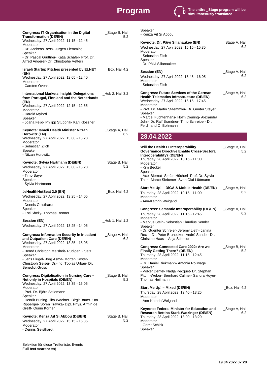# **Program**



| <b>Congress: IT Organisation in the Digital</b><br><b>Transformation (DE/EN)</b><br>Wednesday, 27 April 2022 11:15 - 12:45<br>Moderator<br>- Dr. Andreas Bess- Jürgen Flemming                                                                                                                             | _Stage B, Hall<br>5.2 |
|------------------------------------------------------------------------------------------------------------------------------------------------------------------------------------------------------------------------------------------------------------------------------------------------------------|-----------------------|
| Speaker<br>- Dr. Pascal Grüttner- Katja Schäfer- Prof. Dr.<br>Alfred Angerer- Dr. Christophe Vetterli                                                                                                                                                                                                      |                       |
| <b>Israeli Startup Pitches presented by ELNET</b><br>(EN)<br>Wednesday, 27 April 2022 12:05 - 12:40<br>Moderator<br>- Carsten Ovens                                                                                                                                                                        | $\_Box$ , Hall 4.2    |
| <b>International Markets Insight: Delegations</b><br>from Portugal, Finnland and the Netherlands<br>(EN)<br>Wednesday, 27 April 2022 12:15 - 12:55<br>Moderator<br>- Harald Mylord<br>Speaker<br>- Joana Feijò- Philipp Stuppnik- Kari Klossner                                                            | $\_$ Hub 2, Hall 3.2  |
| Keynote: Israeli Health Minister Nitzan<br>Horowitz (EN)<br>Wednesday, 27 April 2022 13:00 - 13:20<br>Moderator<br>- Sebastian Zilch<br>Speaker<br>- Nitzan Horowitz                                                                                                                                       | _Stage A, Hall<br>6.2 |
| Keynote: Sylvia Hartmann (DE/EN)<br>Wednesday, 27 April 2022 13:00 - 13:20<br>Moderator<br>- Timo Bayer<br>Speaker<br>- Sylvia Hartmann                                                                                                                                                                    | _Stage B, Hall<br>5.2 |
| #eHealthHotSeat 2.0 (EN)<br>Wednesday, 27 April 2022 13:25 - 14:05<br>Moderator<br>- Dennis Geisthardt<br>Speaker<br>- Esti Shelly- Thomas Renner                                                                                                                                                          | _Box, Hall 4.2        |
| <b>Session (EN)</b><br>Wednesday, 27 April 2022 13:25 - 14:05                                                                                                                                                                                                                                              | $_l$ Hub 1, Hall 1.2  |
| and Outpatient Care (DE/EN)<br>Wednesday, 27 April 2022 13:35 - 15:05<br>Moderator<br>- Bernd Christoph Meisheit- Rüdiger Gruetz<br>Speaker<br>- Jens Flügel- Jörg Asma- Morten Köster-<br>Christoph Geiser- Dr.-Ing. Tobias Urban- Dr.<br><b>Benedict Gross</b>                                           | 6.2                   |
| Congress: Digitalisation in Nursing Care -<br>Not only in Hospitals (DE/EN)<br>Wednesday, 27 April 2022 13:35 - 15:05<br>Moderator<br>- Prof. Dr. Björn Sellemann<br>Speaker<br>- Henrik Büning- Ilka Wächter- Birgit Bauer- Uta<br>Ripperger- Sören Trawka- Dipl. Phys. Armin de<br>Greiff- Quirin Körner | _Stage B, Hall<br>5.2 |
| Keynote: Kenza Ait Si Abbou (DE/EN)<br>Wednesday, 27 April 2022 15:15 - 15:35<br>Moderator<br>- Dennis Geisthardt                                                                                                                                                                                          | _Stage B, Hall<br>5.2 |

Selektion für diese Trefferliste: Events **Full text search:** en)

Speaker - Kenza Ait Si Abbou

| Keynote: Dr. Päivi Sillanaukee (EN)<br>Wednesday, 27 April 2022 15:15 - 15:35<br>Moderator<br>- Sebastian Zilch<br>Speaker<br>- Dr. Päivi Sillanaukee                                                                                                                                                                                    | _Stage A, Hall<br>6.2 |
|------------------------------------------------------------------------------------------------------------------------------------------------------------------------------------------------------------------------------------------------------------------------------------------------------------------------------------------|-----------------------|
| Session (EN)<br>Wednesday, 27 April 2022 15:45 - 16:05<br>Moderator<br>- Sebastian Zilch                                                                                                                                                                                                                                                 | _Stage A, Hall<br>6.2 |
| <b>Congress: Future Services of the German</b><br>Health Telematics Infrastructure (DE/EN)<br>Wednesday, 27 April 2022 16:15 - 17:45<br>Moderator<br>- Prof. Dr. Martin Staemmler- Dr. Günter Steyer<br>Speaker<br>- Marcel Füchtenhans- Holm Diening- Alexandra<br>John- Dr. Ralf Brandner- Timo Schreiber- Dr.<br>Ferdinand O. Bohmann | _Stage A, Hall<br>6.2 |
| 28.04.2022                                                                                                                                                                                                                                                                                                                               |                       |
| Will the Health IT Interoperability<br>Governance Directive Enable Cross-Sectoral<br>Interoperability? (DE/EN)<br>Thursday, 28 April 2022 10:15 - 11:00<br>Moderator<br>- Kim Becker<br>Speaker                                                                                                                                          | _Stage B, Hall<br>5.2 |

- Axel Biernat- Stefan Höcherl- Prof. Dr. Sylvia Thun- Marco Siebener- Sven Olaf Lüttmann

| Start Me Up! - DiGA & Mobile Health (DE/EN) __Stage A, Hall<br>Thursday, 28 April 2022 10:15 - 11:00<br>Moderator<br>- Ann-Kathrin Weigand                                                                                                                                                                         | 6.2                   |
|--------------------------------------------------------------------------------------------------------------------------------------------------------------------------------------------------------------------------------------------------------------------------------------------------------------------|-----------------------|
| <b>Congress: Semantic Interoperability (DE/EN)</b><br>Thursday, 28 April 2022 11:15 - 12:45<br>Moderator<br>- Markus Stein- Sebastian Claudius Semler<br>Speaker<br>- Dr. Guenter Schreier- Jeremy Lieth- Janina<br>Rexin- Dr. Peter Brunecker- André Sander- Dr.<br>Christine Haas- Anja Schmidt                  | _Stage A, Hall<br>6.2 |
| <b>Congress: Connected Care 2022: Are we</b><br><b>Finally Getting There? (DE/EN)</b><br>Thursday, 28 April 2022 11:15 - 12:45<br>Moderator<br>- Dr. Daniel Diekmann- Antonia Rollwage<br>Speaker<br>- Volker Dentel- Nadja Pecquet- Dr. Stephan<br>Pitum-Weber- Bernhard Calmer- Sandra Hoyer-<br>Thomas Heilmann | _Stage B, Hall<br>5.2 |
| Start Me Up! - Mixed (DE/EN)<br>Thursday, 28 April 2022 12:40 - 13:25<br>Moderator<br>- Ann-Kathrin Weigand                                                                                                                                                                                                        | Box, Hall 4.2         |
| Keynote: Federal Minister for Education and<br><b>Research Bettina Stark-Watzinger (DE/EN)</b><br>Thursday, 28 April 2022 13:00 - 13:20<br>Moderator<br>- Gerrit Schick<br>Speaker                                                                                                                                 | _Stage A, Hall<br>6.2 |